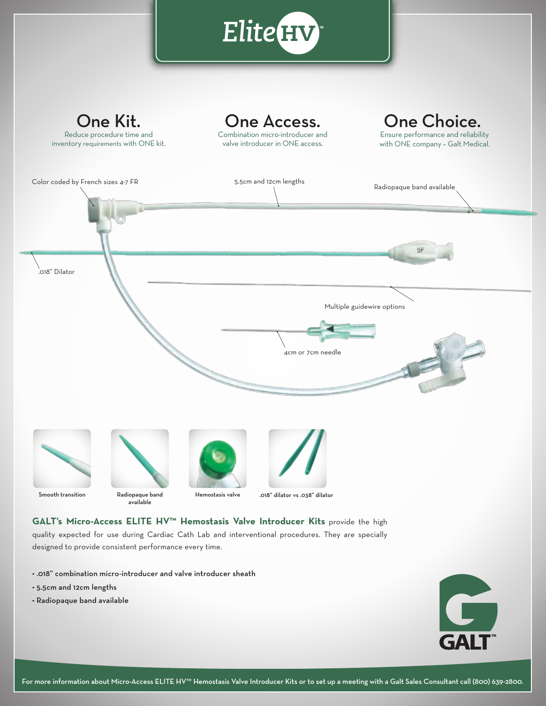

- 5.5cm and 12cm lengths
- Radiopaque band available